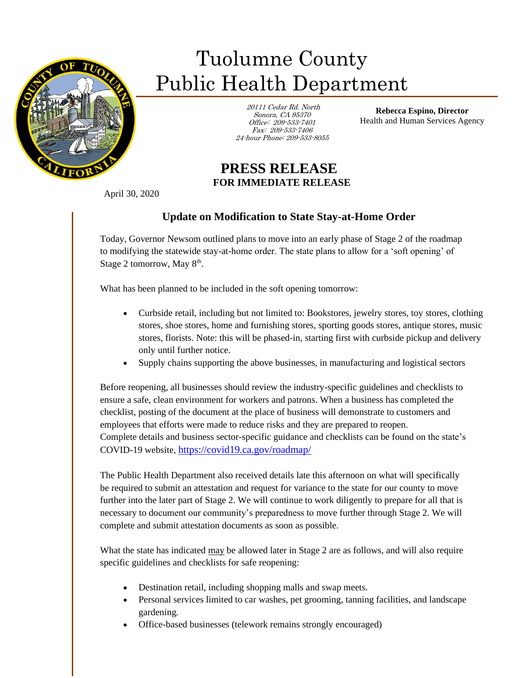

## Tuolumne County Public Health Department

 20111 Cedar Rd. North Sonora, CA 95370 Office: 209-533-7401 Fax: 209-533-7406 24-hour Phone: 209-533-8055

**Rebecca Espino, Director** Health and Human Services Agency

## **PRESS RELEASE FOR IMMEDIATE RELEASE**

April 30, 2020

Ī

## **Update on Modification to State Stay-at-Home Order**

Today, Governor Newsom outlined plans to move into an early phase of Stage 2 of the roadmap to modifying the statewide stay-at-home order. The state plans to allow for a 'soft opening' of Stage 2 tomorrow, May  $8<sup>th</sup>$ .

What has been planned to be included in the soft opening tomorrow:

- Curbside retail, including but not limited to: Bookstores, jewelry stores, toy stores, clothing stores, shoe stores, home and furnishing stores, sporting goods stores, antique stores, music stores, florists. Note: this will be phased-in, starting first with curbside pickup and delivery only until further notice.
- Supply chains supporting the above businesses, in manufacturing and logistical sectors

Before reopening, all businesses should review the industry-specific guidelines and checklists to ensure a safe, clean environment for workers and patrons. When a business has completed the checklist, posting of the document at the place of business will demonstrate to customers and employees that efforts were made to reduce risks and they are prepared to reopen. Complete details and business sector-specific guidance and checklists can be found on the state's COVID-19 website, <https://covid19.ca.gov/roadmap/>

The Public Health Department also received details late this afternoon on what will specifically be required to submit an attestation and request for variance to the state for our county to move further into the later part of Stage 2. We will continue to work diligently to prepare for all that is necessary to document our community's preparedness to move further through Stage 2. We will complete and submit attestation documents as soon as possible.

What the state has indicated may be allowed later in Stage 2 are as follows, and will also require specific guidelines and checklists for safe reopening:

- Destination retail, including shopping malls and swap meets.
- Personal services limited to car washes, pet grooming, tanning facilities, and landscape gardening.
- Office-based businesses (telework remains strongly encouraged)